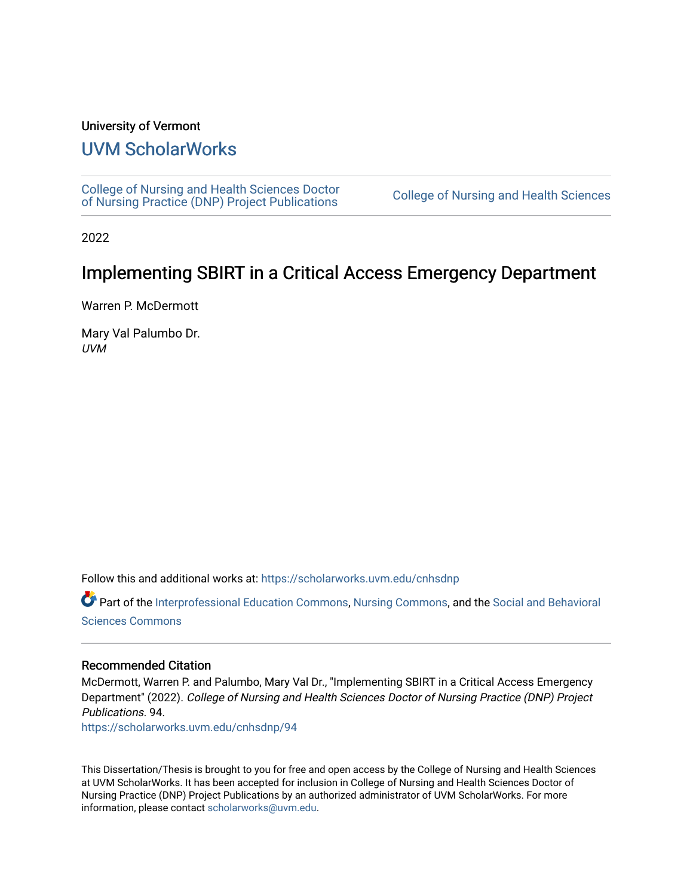#### University of Vermont

## [UVM ScholarWorks](https://scholarworks.uvm.edu/)

[College of Nursing and Health Sciences Doctor](https://scholarworks.uvm.edu/cnhsdnp) [of Nursing Practice \(DNP\) Project Publications](https://scholarworks.uvm.edu/cnhsdnp) [College of Nursing and Health Sciences](https://scholarworks.uvm.edu/cnhs) 

2022

## Implementing SBIRT in a Critical Access Emergency Department

Warren P. McDermott

Mary Val Palumbo Dr. UVM

Follow this and additional works at: [https://scholarworks.uvm.edu/cnhsdnp](https://scholarworks.uvm.edu/cnhsdnp?utm_source=scholarworks.uvm.edu%2Fcnhsdnp%2F94&utm_medium=PDF&utm_campaign=PDFCoverPages)

Part of the [Interprofessional Education Commons,](http://network.bepress.com/hgg/discipline/1372?utm_source=scholarworks.uvm.edu%2Fcnhsdnp%2F94&utm_medium=PDF&utm_campaign=PDFCoverPages) [Nursing Commons,](http://network.bepress.com/hgg/discipline/718?utm_source=scholarworks.uvm.edu%2Fcnhsdnp%2F94&utm_medium=PDF&utm_campaign=PDFCoverPages) and the Social and Behavioral [Sciences Commons](http://network.bepress.com/hgg/discipline/316?utm_source=scholarworks.uvm.edu%2Fcnhsdnp%2F94&utm_medium=PDF&utm_campaign=PDFCoverPages) 

#### Recommended Citation

McDermott, Warren P. and Palumbo, Mary Val Dr., "Implementing SBIRT in a Critical Access Emergency Department" (2022). College of Nursing and Health Sciences Doctor of Nursing Practice (DNP) Project Publications. 94.

[https://scholarworks.uvm.edu/cnhsdnp/94](https://scholarworks.uvm.edu/cnhsdnp/94?utm_source=scholarworks.uvm.edu%2Fcnhsdnp%2F94&utm_medium=PDF&utm_campaign=PDFCoverPages) 

This Dissertation/Thesis is brought to you for free and open access by the College of Nursing and Health Sciences at UVM ScholarWorks. It has been accepted for inclusion in College of Nursing and Health Sciences Doctor of Nursing Practice (DNP) Project Publications by an authorized administrator of UVM ScholarWorks. For more information, please contact [scholarworks@uvm.edu.](mailto:scholarworks@uvm.edu)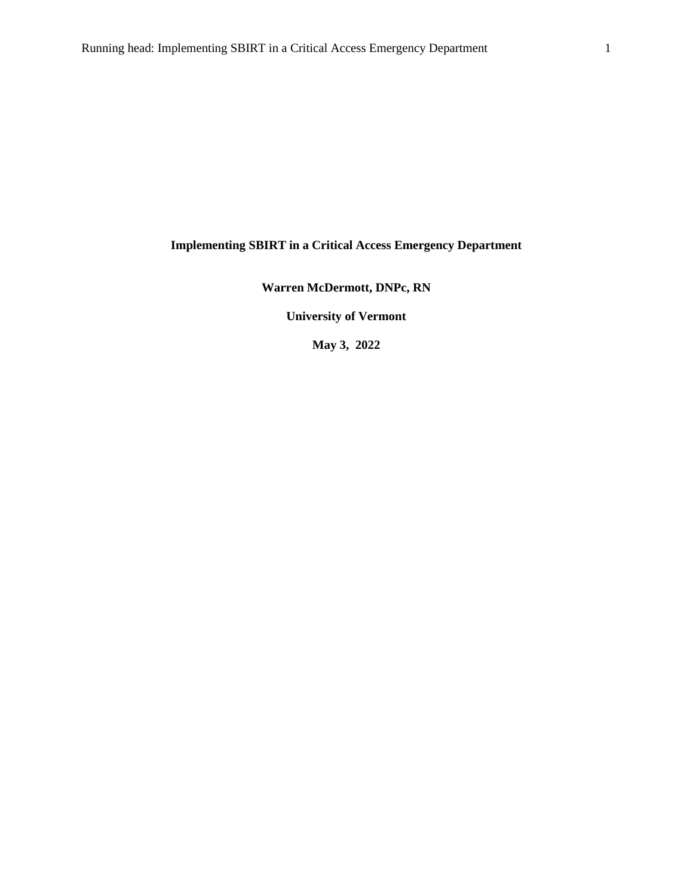### **Implementing SBIRT in a Critical Access Emergency Department**

### **Warren McDermott, DNPc, RN**

**University of Vermont**

**May 3, 2022**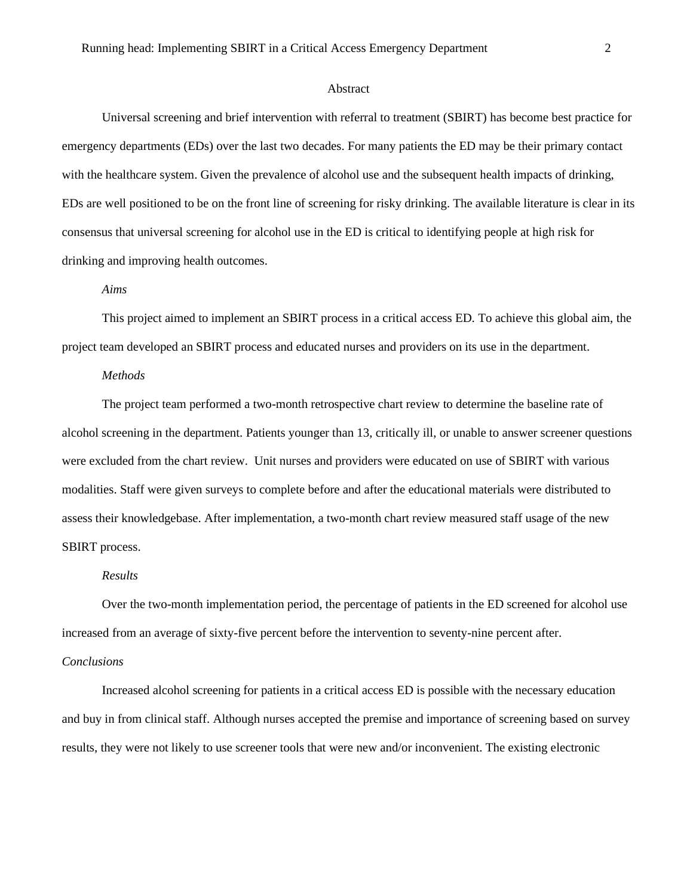#### Abstract

Universal screening and brief intervention with referral to treatment (SBIRT) has become best practice for emergency departments (EDs) over the last two decades. For many patients the ED may be their primary contact with the healthcare system. Given the prevalence of alcohol use and the subsequent health impacts of drinking, EDs are well positioned to be on the front line of screening for risky drinking. The available literature is clear in its consensus that universal screening for alcohol use in the ED is critical to identifying people at high risk for drinking and improving health outcomes.

#### *Aims*

This project aimed to implement an SBIRT process in a critical access ED. To achieve this global aim, the project team developed an SBIRT process and educated nurses and providers on its use in the department.

#### *Methods*

The project team performed a two-month retrospective chart review to determine the baseline rate of alcohol screening in the department. Patients younger than 13, critically ill, or unable to answer screener questions were excluded from the chart review. Unit nurses and providers were educated on use of SBIRT with various modalities. Staff were given surveys to complete before and after the educational materials were distributed to assess their knowledgebase. After implementation, a two-month chart review measured staff usage of the new SBIRT process.

#### *Results*

Over the two-month implementation period, the percentage of patients in the ED screened for alcohol use increased from an average of sixty-five percent before the intervention to seventy-nine percent after.

#### *Conclusions*

Increased alcohol screening for patients in a critical access ED is possible with the necessary education and buy in from clinical staff. Although nurses accepted the premise and importance of screening based on survey results, they were not likely to use screener tools that were new and/or inconvenient. The existing electronic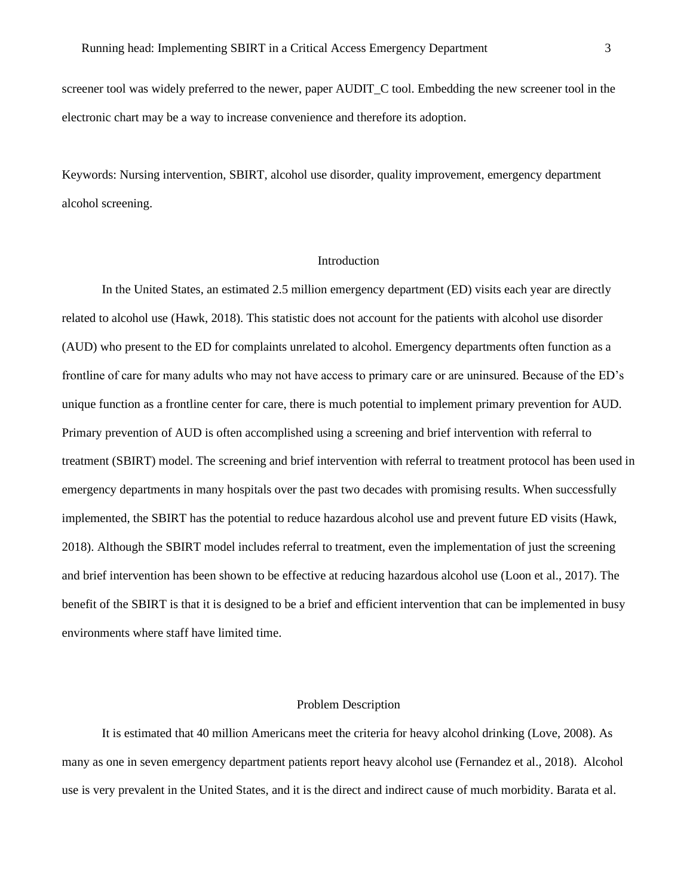screener tool was widely preferred to the newer, paper AUDIT C tool. Embedding the new screener tool in the electronic chart may be a way to increase convenience and therefore its adoption.

Keywords: Nursing intervention, SBIRT, alcohol use disorder, quality improvement, emergency department alcohol screening.

#### Introduction

In the United States, an estimated 2.5 million emergency department (ED) visits each year are directly related to alcohol use (Hawk, 2018). This statistic does not account for the patients with alcohol use disorder (AUD) who present to the ED for complaints unrelated to alcohol. Emergency departments often function as a frontline of care for many adults who may not have access to primary care or are uninsured. Because of the ED's unique function as a frontline center for care, there is much potential to implement primary prevention for AUD. Primary prevention of AUD is often accomplished using a screening and brief intervention with referral to treatment (SBIRT) model. The screening and brief intervention with referral to treatment protocol has been used in emergency departments in many hospitals over the past two decades with promising results. When successfully implemented, the SBIRT has the potential to reduce hazardous alcohol use and prevent future ED visits (Hawk, 2018). Although the SBIRT model includes referral to treatment, even the implementation of just the screening and brief intervention has been shown to be effective at reducing hazardous alcohol use (Loon et al., 2017). The benefit of the SBIRT is that it is designed to be a brief and efficient intervention that can be implemented in busy environments where staff have limited time.

#### Problem Description

It is estimated that 40 million Americans meet the criteria for heavy alcohol drinking (Love, 2008). As many as one in seven emergency department patients report heavy alcohol use (Fernandez et al., 2018). Alcohol use is very prevalent in the United States, and it is the direct and indirect cause of much morbidity. Barata et al.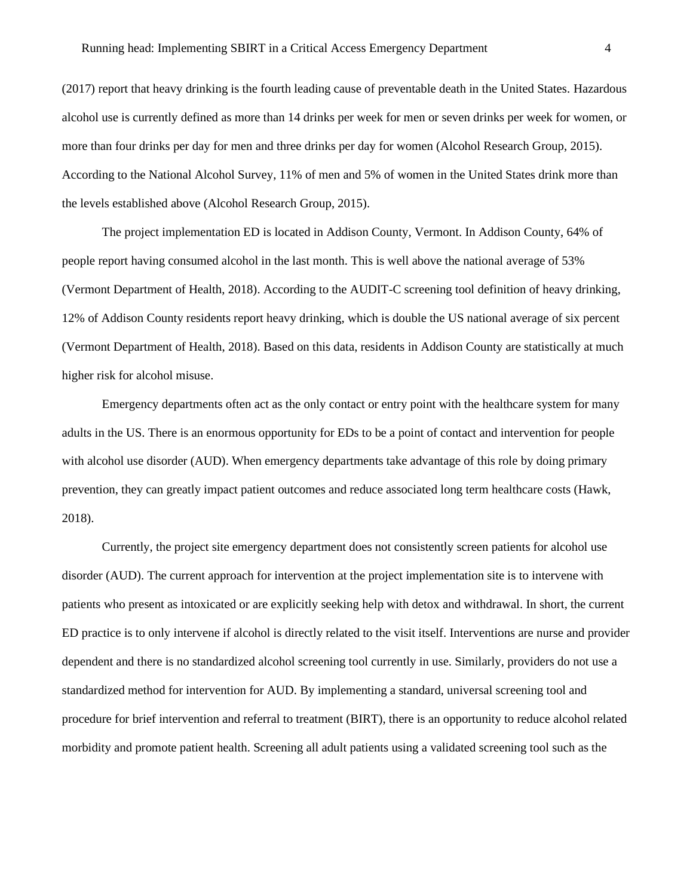(2017) report that heavy drinking is the fourth leading cause of preventable death in the United States. Hazardous alcohol use is currently defined as more than 14 drinks per week for men or seven drinks per week for women, or more than four drinks per day for men and three drinks per day for women (Alcohol Research Group, 2015). According to the National Alcohol Survey, 11% of men and 5% of women in the United States drink more than the levels established above (Alcohol Research Group, 2015).

The project implementation ED is located in Addison County, Vermont. In Addison County, 64% of people report having consumed alcohol in the last month. This is well above the national average of 53% (Vermont Department of Health, 2018). According to the AUDIT-C screening tool definition of heavy drinking, 12% of Addison County residents report heavy drinking, which is double the US national average of six percent (Vermont Department of Health, 2018). Based on this data, residents in Addison County are statistically at much higher risk for alcohol misuse.

Emergency departments often act as the only contact or entry point with the healthcare system for many adults in the US. There is an enormous opportunity for EDs to be a point of contact and intervention for people with alcohol use disorder (AUD). When emergency departments take advantage of this role by doing primary prevention, they can greatly impact patient outcomes and reduce associated long term healthcare costs (Hawk, 2018).

Currently, the project site emergency department does not consistently screen patients for alcohol use disorder (AUD). The current approach for intervention at the project implementation site is to intervene with patients who present as intoxicated or are explicitly seeking help with detox and withdrawal. In short, the current ED practice is to only intervene if alcohol is directly related to the visit itself. Interventions are nurse and provider dependent and there is no standardized alcohol screening tool currently in use. Similarly, providers do not use a standardized method for intervention for AUD. By implementing a standard, universal screening tool and procedure for brief intervention and referral to treatment (BIRT), there is an opportunity to reduce alcohol related morbidity and promote patient health. Screening all adult patients using a validated screening tool such as the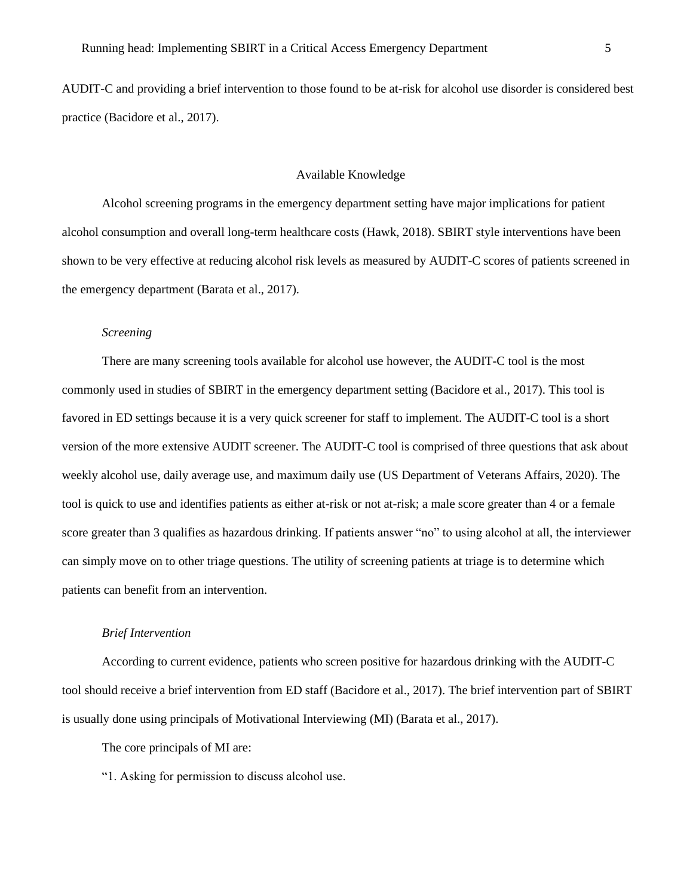AUDIT-C and providing a brief intervention to those found to be at-risk for alcohol use disorder is considered best practice (Bacidore et al., 2017).

#### Available Knowledge

Alcohol screening programs in the emergency department setting have major implications for patient alcohol consumption and overall long-term healthcare costs (Hawk, 2018). SBIRT style interventions have been shown to be very effective at reducing alcohol risk levels as measured by AUDIT-C scores of patients screened in the emergency department (Barata et al., 2017).

#### *Screening*

There are many screening tools available for alcohol use however, the AUDIT-C tool is the most commonly used in studies of SBIRT in the emergency department setting (Bacidore et al., 2017). This tool is favored in ED settings because it is a very quick screener for staff to implement. The AUDIT-C tool is a short version of the more extensive AUDIT screener. The AUDIT-C tool is comprised of three questions that ask about weekly alcohol use, daily average use, and maximum daily use (US Department of Veterans Affairs, 2020). The tool is quick to use and identifies patients as either at-risk or not at-risk; a male score greater than 4 or a female score greater than 3 qualifies as hazardous drinking. If patients answer "no" to using alcohol at all, the interviewer can simply move on to other triage questions. The utility of screening patients at triage is to determine which patients can benefit from an intervention.

#### *Brief Intervention*

According to current evidence, patients who screen positive for hazardous drinking with the AUDIT-C tool should receive a brief intervention from ED staff (Bacidore et al., 2017). The brief intervention part of SBIRT is usually done using principals of Motivational Interviewing (MI) (Barata et al., 2017).

The core principals of MI are:

"1. Asking for permission to discuss alcohol use.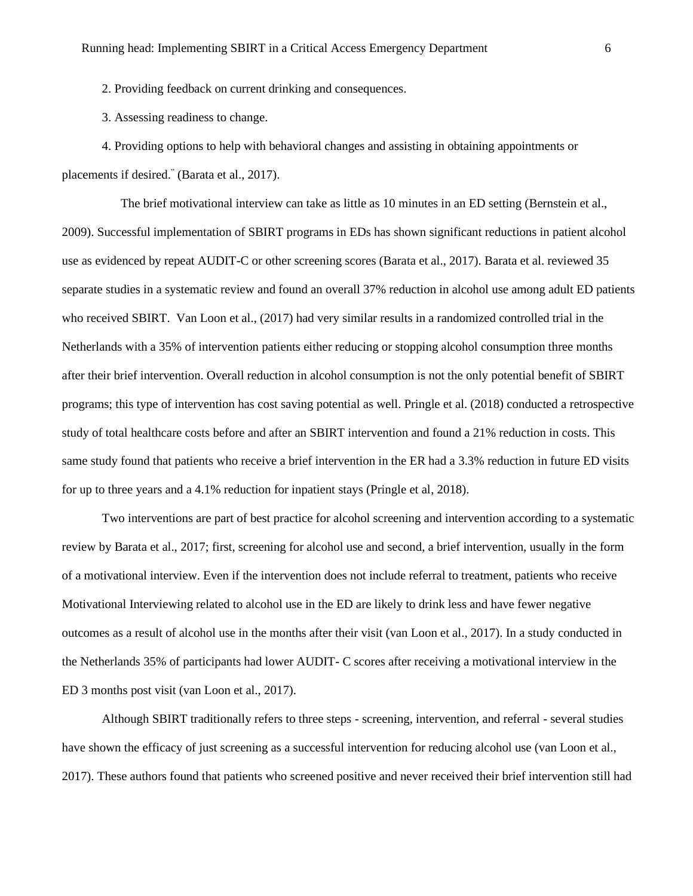2. Providing feedback on current drinking and consequences.

3. Assessing readiness to change.

4. Providing options to help with behavioral changes and assisting in obtaining appointments or placements if desired." (Barata et al., 2017).

 The brief motivational interview can take as little as 10 minutes in an ED setting (Bernstein et al., 2009). Successful implementation of SBIRT programs in EDs has shown significant reductions in patient alcohol use as evidenced by repeat AUDIT-C or other screening scores (Barata et al., 2017). Barata et al. reviewed 35 separate studies in a systematic review and found an overall 37% reduction in alcohol use among adult ED patients who received SBIRT. Van Loon et al., (2017) had very similar results in a randomized controlled trial in the Netherlands with a 35% of intervention patients either reducing or stopping alcohol consumption three months after their brief intervention. Overall reduction in alcohol consumption is not the only potential benefit of SBIRT programs; this type of intervention has cost saving potential as well. Pringle et al. (2018) conducted a retrospective study of total healthcare costs before and after an SBIRT intervention and found a 21% reduction in costs. This same study found that patients who receive a brief intervention in the ER had a 3.3% reduction in future ED visits for up to three years and a 4.1% reduction for inpatient stays (Pringle et al, 2018).

Two interventions are part of best practice for alcohol screening and intervention according to a systematic review by Barata et al., 2017; first, screening for alcohol use and second, a brief intervention, usually in the form of a motivational interview. Even if the intervention does not include referral to treatment, patients who receive Motivational Interviewing related to alcohol use in the ED are likely to drink less and have fewer negative outcomes as a result of alcohol use in the months after their visit (van Loon et al., 2017). In a study conducted in the Netherlands 35% of participants had lower AUDIT- C scores after receiving a motivational interview in the ED 3 months post visit (van Loon et al., 2017).

Although SBIRT traditionally refers to three steps - screening, intervention, and referral - several studies have shown the efficacy of just screening as a successful intervention for reducing alcohol use (van Loon et al., 2017). These authors found that patients who screened positive and never received their brief intervention still had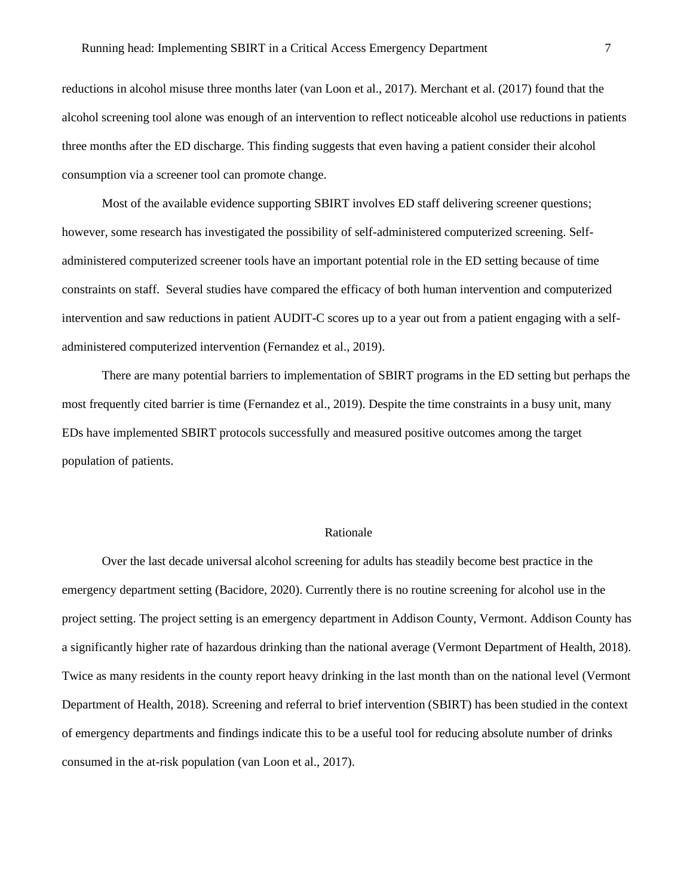reductions in alcohol misuse three months later (van Loon et al., 2017). Merchant et al. (2017) found that the alcohol screening tool alone was enough of an intervention to reflect noticeable alcohol use reductions in patients three months after the ED discharge. This finding suggests that even having a patient consider their alcohol consumption via a screener tool can promote change.

Most of the available evidence supporting SBIRT involves ED staff delivering screener questions; however, some research has investigated the possibility of self-administered computerized screening. Selfadministered computerized screener tools have an important potential role in the ED setting because of time constraints on staff. Several studies have compared the efficacy of both human intervention and computerized intervention and saw reductions in patient AUDIT-C scores up to a year out from a patient engaging with a selfadministered computerized intervention (Fernandez et al., 2019).

There are many potential barriers to implementation of SBIRT programs in the ED setting but perhaps the most frequently cited barrier is time (Fernandez et al., 2019). Despite the time constraints in a busy unit, many EDs have implemented SBIRT protocols successfully and measured positive outcomes among the target population of patients.

#### Rationale

Over the last decade universal alcohol screening for adults has steadily become best practice in the emergency department setting (Bacidore, 2020). Currently there is no routine screening for alcohol use in the project setting. The project setting is an emergency department in Addison County, Vermont. Addison County has a significantly higher rate of hazardous drinking than the national average (Vermont Department of Health, 2018). Twice as many residents in the county report heavy drinking in the last month than on the national level (Vermont Department of Health, 2018). Screening and referral to brief intervention (SBIRT) has been studied in the context of emergency departments and findings indicate this to be a useful tool for reducing absolute number of drinks consumed in the at-risk population (van Loon et al., 2017).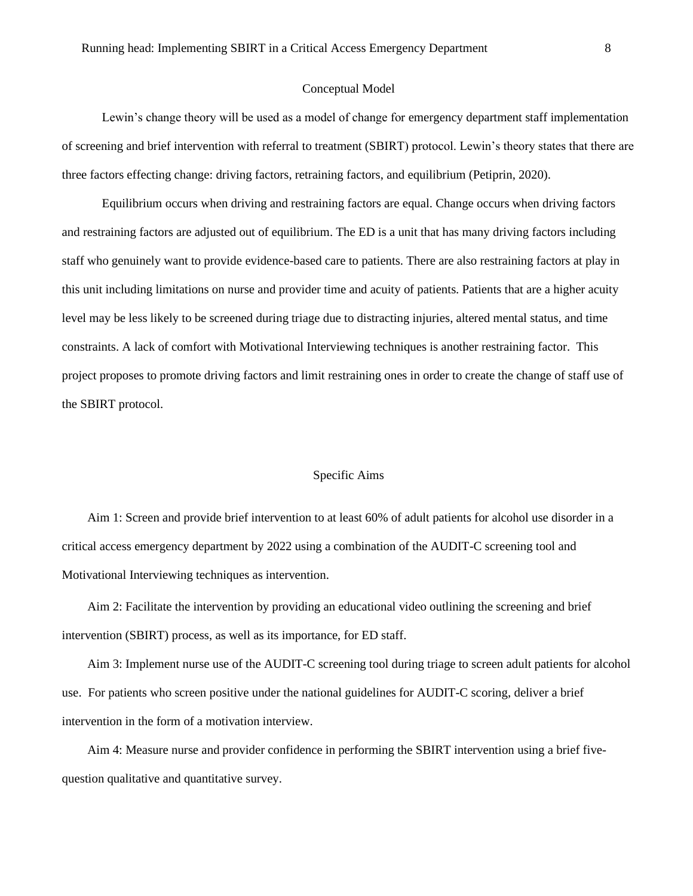#### Conceptual Model

Lewin's change theory will be used as a model of change for emergency department staff implementation of screening and brief intervention with referral to treatment (SBIRT) protocol. Lewin's theory states that there are three factors effecting change: driving factors, retraining factors, and equilibrium (Petiprin, 2020).

Equilibrium occurs when driving and restraining factors are equal. Change occurs when driving factors and restraining factors are adjusted out of equilibrium. The ED is a unit that has many driving factors including staff who genuinely want to provide evidence-based care to patients. There are also restraining factors at play in this unit including limitations on nurse and provider time and acuity of patients. Patients that are a higher acuity level may be less likely to be screened during triage due to distracting injuries, altered mental status, and time constraints. A lack of comfort with Motivational Interviewing techniques is another restraining factor. This project proposes to promote driving factors and limit restraining ones in order to create the change of staff use of the SBIRT protocol.

#### Specific Aims

Aim 1: Screen and provide brief intervention to at least 60% of adult patients for alcohol use disorder in a critical access emergency department by 2022 using a combination of the AUDIT-C screening tool and Motivational Interviewing techniques as intervention.

Aim 2: Facilitate the intervention by providing an educational video outlining the screening and brief intervention (SBIRT) process, as well as its importance, for ED staff.

Aim 3: Implement nurse use of the AUDIT-C screening tool during triage to screen adult patients for alcohol use. For patients who screen positive under the national guidelines for AUDIT-C scoring, deliver a brief intervention in the form of a motivation interview.

Aim 4: Measure nurse and provider confidence in performing the SBIRT intervention using a brief fivequestion qualitative and quantitative survey.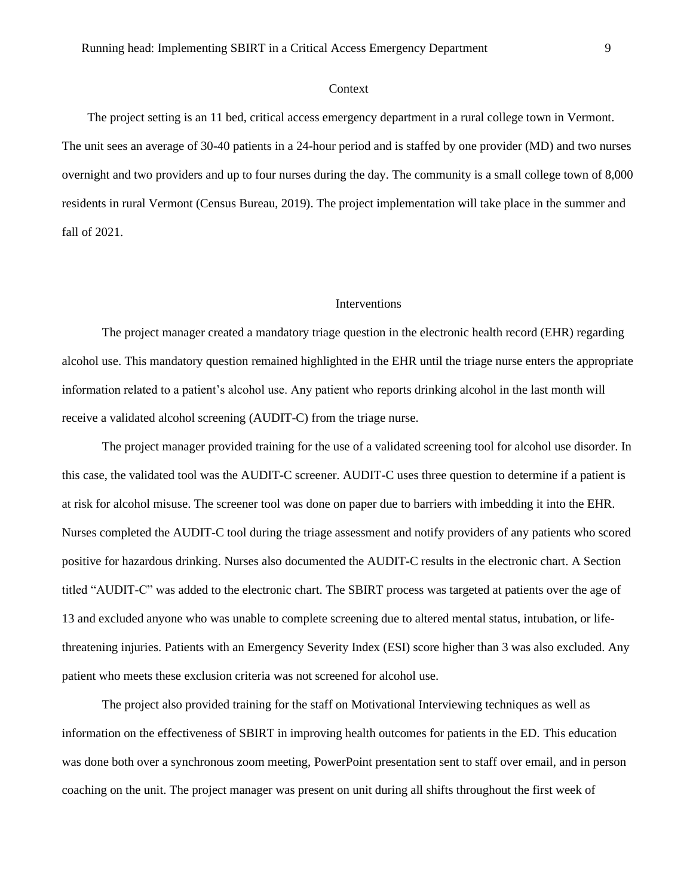#### Context

The project setting is an 11 bed, critical access emergency department in a rural college town in Vermont. The unit sees an average of 30-40 patients in a 24-hour period and is staffed by one provider (MD) and two nurses overnight and two providers and up to four nurses during the day. The community is a small college town of 8,000 residents in rural Vermont (Census Bureau, 2019). The project implementation will take place in the summer and fall of 2021.

#### Interventions

The project manager created a mandatory triage question in the electronic health record (EHR) regarding alcohol use. This mandatory question remained highlighted in the EHR until the triage nurse enters the appropriate information related to a patient's alcohol use. Any patient who reports drinking alcohol in the last month will receive a validated alcohol screening (AUDIT-C) from the triage nurse.

The project manager provided training for the use of a validated screening tool for alcohol use disorder. In this case, the validated tool was the AUDIT-C screener. AUDIT-C uses three question to determine if a patient is at risk for alcohol misuse. The screener tool was done on paper due to barriers with imbedding it into the EHR. Nurses completed the AUDIT-C tool during the triage assessment and notify providers of any patients who scored positive for hazardous drinking. Nurses also documented the AUDIT-C results in the electronic chart. A Section titled "AUDIT-C" was added to the electronic chart. The SBIRT process was targeted at patients over the age of 13 and excluded anyone who was unable to complete screening due to altered mental status, intubation, or lifethreatening injuries. Patients with an Emergency Severity Index (ESI) score higher than 3 was also excluded. Any patient who meets these exclusion criteria was not screened for alcohol use.

The project also provided training for the staff on Motivational Interviewing techniques as well as information on the effectiveness of SBIRT in improving health outcomes for patients in the ED. This education was done both over a synchronous zoom meeting, PowerPoint presentation sent to staff over email, and in person coaching on the unit. The project manager was present on unit during all shifts throughout the first week of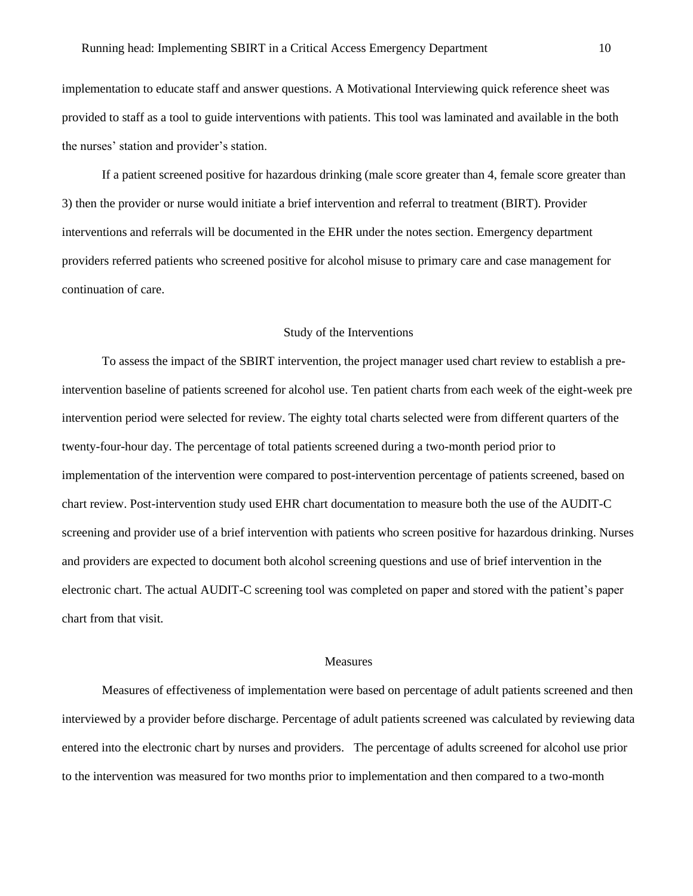implementation to educate staff and answer questions. A Motivational Interviewing quick reference sheet was provided to staff as a tool to guide interventions with patients. This tool was laminated and available in the both the nurses' station and provider's station.

If a patient screened positive for hazardous drinking (male score greater than 4, female score greater than 3) then the provider or nurse would initiate a brief intervention and referral to treatment (BIRT). Provider interventions and referrals will be documented in the EHR under the notes section. Emergency department providers referred patients who screened positive for alcohol misuse to primary care and case management for continuation of care.

#### Study of the Interventions

To assess the impact of the SBIRT intervention, the project manager used chart review to establish a preintervention baseline of patients screened for alcohol use. Ten patient charts from each week of the eight-week pre intervention period were selected for review. The eighty total charts selected were from different quarters of the twenty-four-hour day. The percentage of total patients screened during a two-month period prior to implementation of the intervention were compared to post-intervention percentage of patients screened, based on chart review. Post-intervention study used EHR chart documentation to measure both the use of the AUDIT-C screening and provider use of a brief intervention with patients who screen positive for hazardous drinking. Nurses and providers are expected to document both alcohol screening questions and use of brief intervention in the electronic chart. The actual AUDIT-C screening tool was completed on paper and stored with the patient's paper chart from that visit.

#### Measures

Measures of effectiveness of implementation were based on percentage of adult patients screened and then interviewed by a provider before discharge. Percentage of adult patients screened was calculated by reviewing data entered into the electronic chart by nurses and providers. The percentage of adults screened for alcohol use prior to the intervention was measured for two months prior to implementation and then compared to a two-month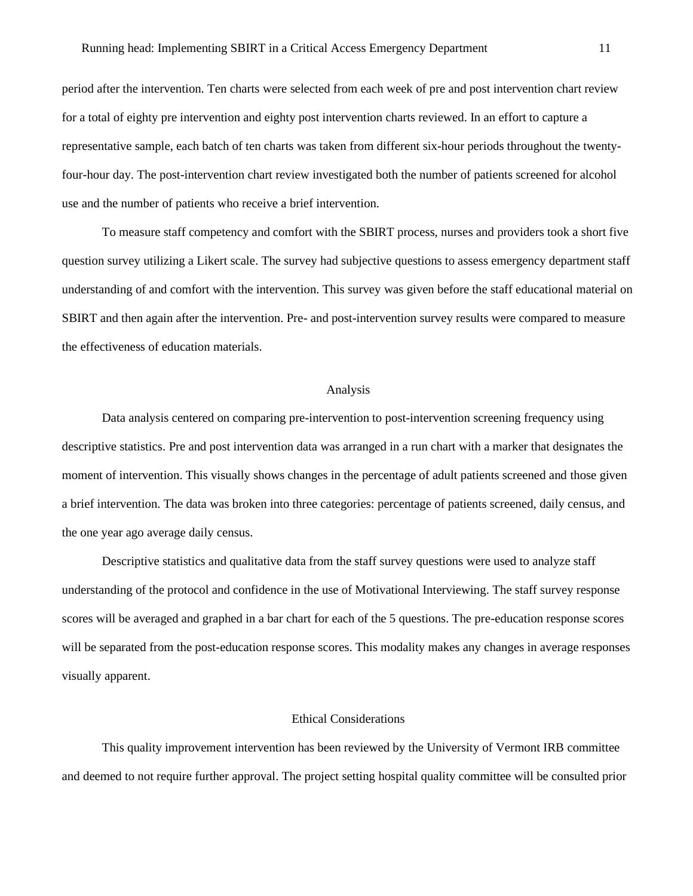period after the intervention. Ten charts were selected from each week of pre and post intervention chart review for a total of eighty pre intervention and eighty post intervention charts reviewed. In an effort to capture a representative sample, each batch of ten charts was taken from different six-hour periods throughout the twentyfour-hour day. The post-intervention chart review investigated both the number of patients screened for alcohol use and the number of patients who receive a brief intervention.

To measure staff competency and comfort with the SBIRT process, nurses and providers took a short five question survey utilizing a Likert scale. The survey had subjective questions to assess emergency department staff understanding of and comfort with the intervention. This survey was given before the staff educational material on SBIRT and then again after the intervention. Pre- and post-intervention survey results were compared to measure the effectiveness of education materials.

#### Analysis

Data analysis centered on comparing pre-intervention to post-intervention screening frequency using descriptive statistics. Pre and post intervention data was arranged in a run chart with a marker that designates the moment of intervention. This visually shows changes in the percentage of adult patients screened and those given a brief intervention. The data was broken into three categories: percentage of patients screened, daily census, and the one year ago average daily census.

Descriptive statistics and qualitative data from the staff survey questions were used to analyze staff understanding of the protocol and confidence in the use of Motivational Interviewing. The staff survey response scores will be averaged and graphed in a bar chart for each of the 5 questions. The pre-education response scores will be separated from the post-education response scores. This modality makes any changes in average responses visually apparent.

#### Ethical Considerations

This quality improvement intervention has been reviewed by the University of Vermont IRB committee and deemed to not require further approval. The project setting hospital quality committee will be consulted prior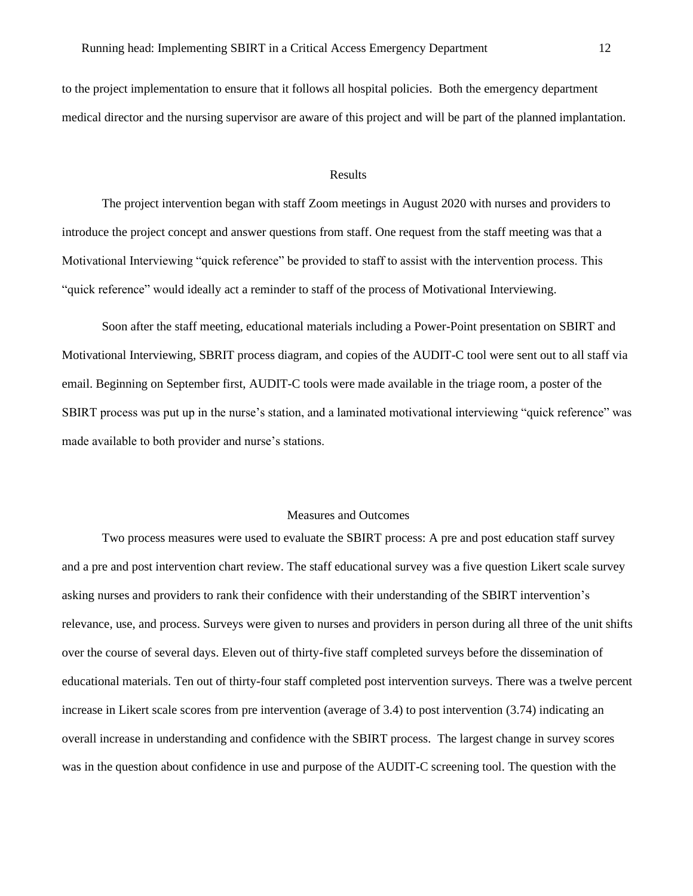to the project implementation to ensure that it follows all hospital policies. Both the emergency department medical director and the nursing supervisor are aware of this project and will be part of the planned implantation.

#### Results

The project intervention began with staff Zoom meetings in August 2020 with nurses and providers to introduce the project concept and answer questions from staff. One request from the staff meeting was that a Motivational Interviewing "quick reference" be provided to staff to assist with the intervention process. This "quick reference" would ideally act a reminder to staff of the process of Motivational Interviewing.

Soon after the staff meeting, educational materials including a Power-Point presentation on SBIRT and Motivational Interviewing, SBRIT process diagram, and copies of the AUDIT-C tool were sent out to all staff via email. Beginning on September first, AUDIT-C tools were made available in the triage room, a poster of the SBIRT process was put up in the nurse's station, and a laminated motivational interviewing "quick reference" was made available to both provider and nurse's stations.

#### Measures and Outcomes

Two process measures were used to evaluate the SBIRT process: A pre and post education staff survey and a pre and post intervention chart review. The staff educational survey was a five question Likert scale survey asking nurses and providers to rank their confidence with their understanding of the SBIRT intervention's relevance, use, and process. Surveys were given to nurses and providers in person during all three of the unit shifts over the course of several days. Eleven out of thirty-five staff completed surveys before the dissemination of educational materials. Ten out of thirty-four staff completed post intervention surveys. There was a twelve percent increase in Likert scale scores from pre intervention (average of 3.4) to post intervention (3.74) indicating an overall increase in understanding and confidence with the SBIRT process. The largest change in survey scores was in the question about confidence in use and purpose of the AUDIT-C screening tool. The question with the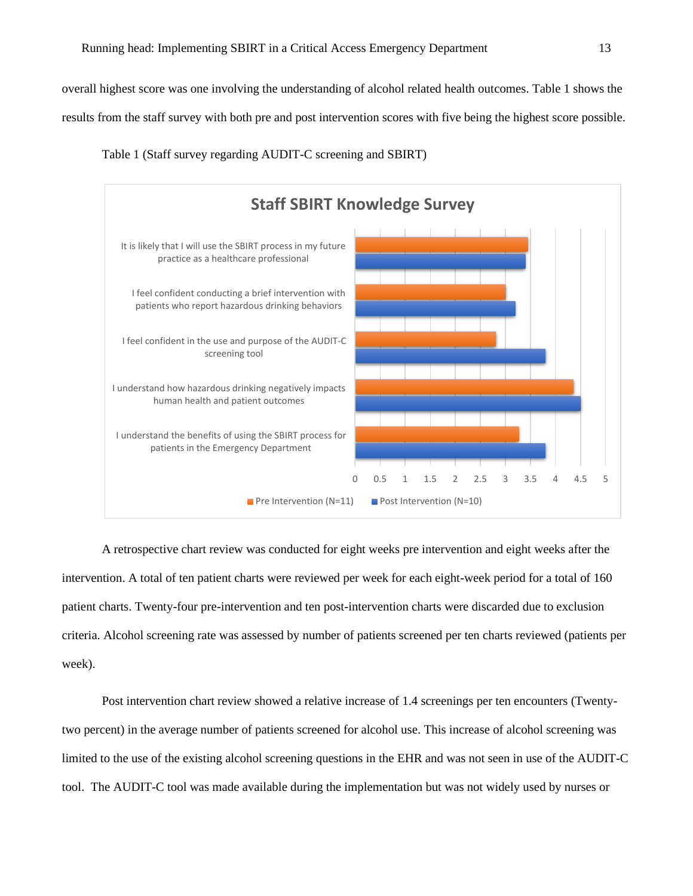overall highest score was one involving the understanding of alcohol related health outcomes. Table 1 shows the results from the staff survey with both pre and post intervention scores with five being the highest score possible.



Table 1 (Staff survey regarding AUDIT-C screening and SBIRT)

A retrospective chart review was conducted for eight weeks pre intervention and eight weeks after the intervention. A total of ten patient charts were reviewed per week for each eight-week period for a total of 160 patient charts. Twenty-four pre-intervention and ten post-intervention charts were discarded due to exclusion criteria. Alcohol screening rate was assessed by number of patients screened per ten charts reviewed (patients per week).

Post intervention chart review showed a relative increase of 1.4 screenings per ten encounters (Twentytwo percent) in the average number of patients screened for alcohol use. This increase of alcohol screening was limited to the use of the existing alcohol screening questions in the EHR and was not seen in use of the AUDIT-C tool. The AUDIT-C tool was made available during the implementation but was not widely used by nurses or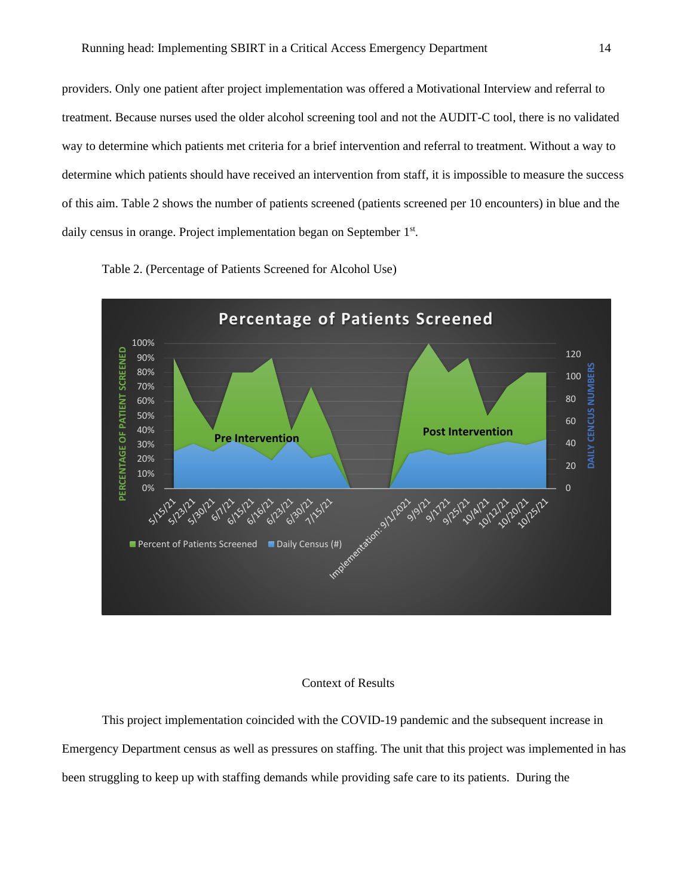providers. Only one patient after project implementation was offered a Motivational Interview and referral to treatment. Because nurses used the older alcohol screening tool and not the AUDIT-C tool, there is no validated way to determine which patients met criteria for a brief intervention and referral to treatment. Without a way to determine which patients should have received an intervention from staff, it is impossible to measure the success of this aim. Table 2 shows the number of patients screened (patients screened per 10 encounters) in blue and the daily census in orange. Project implementation began on September 1<sup>st</sup>.





#### Context of Results

This project implementation coincided with the COVID-19 pandemic and the subsequent increase in Emergency Department census as well as pressures on staffing. The unit that this project was implemented in has been struggling to keep up with staffing demands while providing safe care to its patients. During the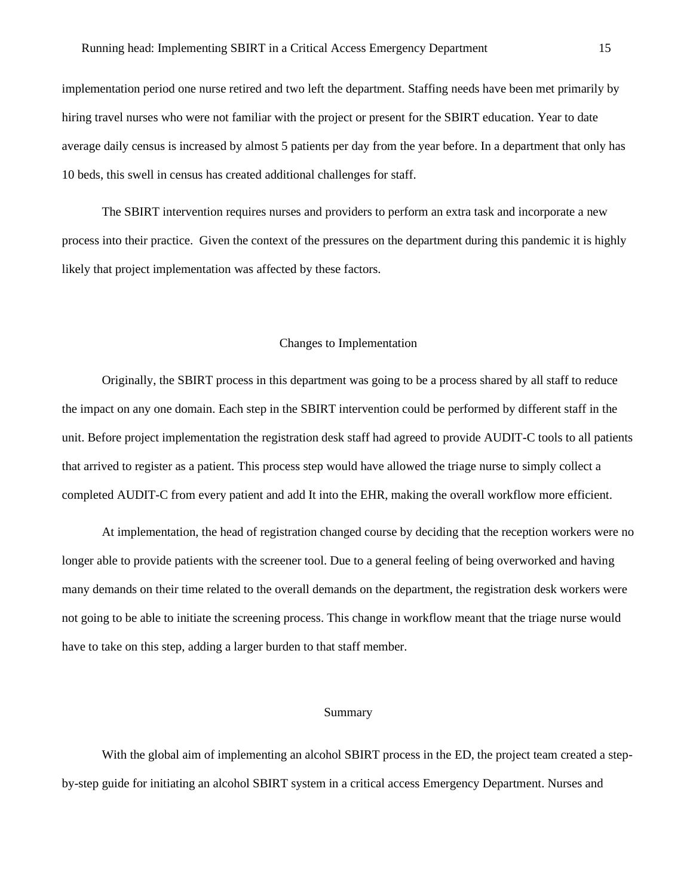implementation period one nurse retired and two left the department. Staffing needs have been met primarily by hiring travel nurses who were not familiar with the project or present for the SBIRT education. Year to date average daily census is increased by almost 5 patients per day from the year before. In a department that only has 10 beds, this swell in census has created additional challenges for staff.

The SBIRT intervention requires nurses and providers to perform an extra task and incorporate a new process into their practice. Given the context of the pressures on the department during this pandemic it is highly likely that project implementation was affected by these factors.

#### Changes to Implementation

Originally, the SBIRT process in this department was going to be a process shared by all staff to reduce the impact on any one domain. Each step in the SBIRT intervention could be performed by different staff in the unit. Before project implementation the registration desk staff had agreed to provide AUDIT-C tools to all patients that arrived to register as a patient. This process step would have allowed the triage nurse to simply collect a completed AUDIT-C from every patient and add It into the EHR, making the overall workflow more efficient.

At implementation, the head of registration changed course by deciding that the reception workers were no longer able to provide patients with the screener tool. Due to a general feeling of being overworked and having many demands on their time related to the overall demands on the department, the registration desk workers were not going to be able to initiate the screening process. This change in workflow meant that the triage nurse would have to take on this step, adding a larger burden to that staff member.

#### Summary

With the global aim of implementing an alcohol SBIRT process in the ED, the project team created a stepby-step guide for initiating an alcohol SBIRT system in a critical access Emergency Department. Nurses and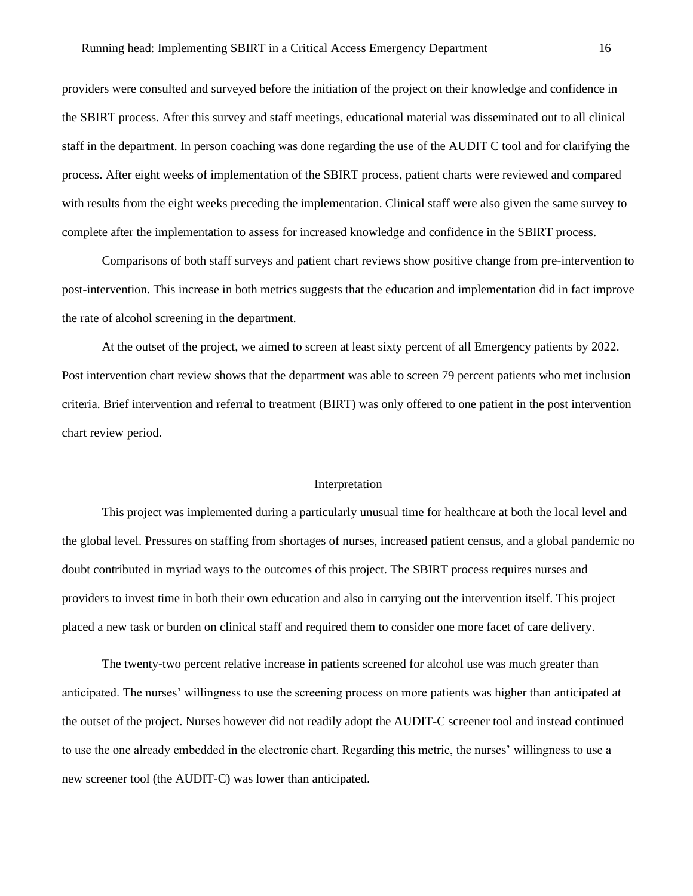providers were consulted and surveyed before the initiation of the project on their knowledge and confidence in the SBIRT process. After this survey and staff meetings, educational material was disseminated out to all clinical staff in the department. In person coaching was done regarding the use of the AUDIT C tool and for clarifying the process. After eight weeks of implementation of the SBIRT process, patient charts were reviewed and compared with results from the eight weeks preceding the implementation. Clinical staff were also given the same survey to complete after the implementation to assess for increased knowledge and confidence in the SBIRT process.

Comparisons of both staff surveys and patient chart reviews show positive change from pre-intervention to post-intervention. This increase in both metrics suggests that the education and implementation did in fact improve the rate of alcohol screening in the department.

At the outset of the project, we aimed to screen at least sixty percent of all Emergency patients by 2022. Post intervention chart review shows that the department was able to screen 79 percent patients who met inclusion criteria. Brief intervention and referral to treatment (BIRT) was only offered to one patient in the post intervention chart review period.

#### Interpretation

This project was implemented during a particularly unusual time for healthcare at both the local level and the global level. Pressures on staffing from shortages of nurses, increased patient census, and a global pandemic no doubt contributed in myriad ways to the outcomes of this project. The SBIRT process requires nurses and providers to invest time in both their own education and also in carrying out the intervention itself. This project placed a new task or burden on clinical staff and required them to consider one more facet of care delivery.

The twenty-two percent relative increase in patients screened for alcohol use was much greater than anticipated. The nurses' willingness to use the screening process on more patients was higher than anticipated at the outset of the project. Nurses however did not readily adopt the AUDIT-C screener tool and instead continued to use the one already embedded in the electronic chart. Regarding this metric, the nurses' willingness to use a new screener tool (the AUDIT-C) was lower than anticipated.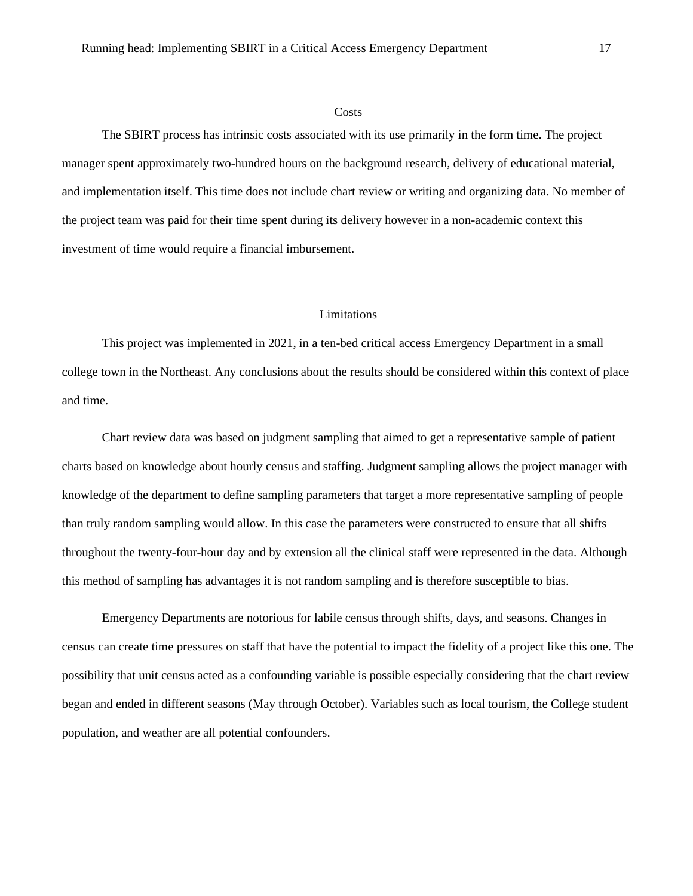#### **Costs**

The SBIRT process has intrinsic costs associated with its use primarily in the form time. The project manager spent approximately two-hundred hours on the background research, delivery of educational material, and implementation itself. This time does not include chart review or writing and organizing data. No member of the project team was paid for their time spent during its delivery however in a non-academic context this investment of time would require a financial imbursement.

#### Limitations

This project was implemented in 2021, in a ten-bed critical access Emergency Department in a small college town in the Northeast. Any conclusions about the results should be considered within this context of place and time.

Chart review data was based on judgment sampling that aimed to get a representative sample of patient charts based on knowledge about hourly census and staffing. Judgment sampling allows the project manager with knowledge of the department to define sampling parameters that target a more representative sampling of people than truly random sampling would allow. In this case the parameters were constructed to ensure that all shifts throughout the twenty-four-hour day and by extension all the clinical staff were represented in the data. Although this method of sampling has advantages it is not random sampling and is therefore susceptible to bias.

Emergency Departments are notorious for labile census through shifts, days, and seasons. Changes in census can create time pressures on staff that have the potential to impact the fidelity of a project like this one. The possibility that unit census acted as a confounding variable is possible especially considering that the chart review began and ended in different seasons (May through October). Variables such as local tourism, the College student population, and weather are all potential confounders.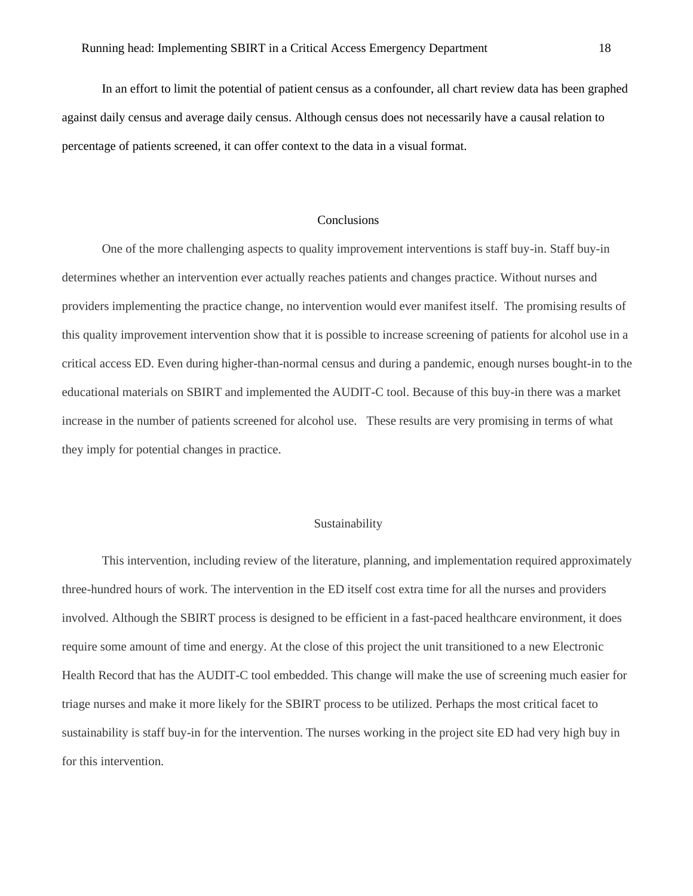In an effort to limit the potential of patient census as a confounder, all chart review data has been graphed against daily census and average daily census. Although census does not necessarily have a causal relation to percentage of patients screened, it can offer context to the data in a visual format.

#### Conclusions

One of the more challenging aspects to quality improvement interventions is staff buy-in. Staff buy-in determines whether an intervention ever actually reaches patients and changes practice. Without nurses and providers implementing the practice change, no intervention would ever manifest itself. The promising results of this quality improvement intervention show that it is possible to increase screening of patients for alcohol use in a critical access ED. Even during higher-than-normal census and during a pandemic, enough nurses bought-in to the educational materials on SBIRT and implemented the AUDIT-C tool. Because of this buy-in there was a market increase in the number of patients screened for alcohol use. These results are very promising in terms of what they imply for potential changes in practice.

#### Sustainability

This intervention, including review of the literature, planning, and implementation required approximately three-hundred hours of work. The intervention in the ED itself cost extra time for all the nurses and providers involved. Although the SBIRT process is designed to be efficient in a fast-paced healthcare environment, it does require some amount of time and energy. At the close of this project the unit transitioned to a new Electronic Health Record that has the AUDIT-C tool embedded. This change will make the use of screening much easier for triage nurses and make it more likely for the SBIRT process to be utilized. Perhaps the most critical facet to sustainability is staff buy-in for the intervention. The nurses working in the project site ED had very high buy in for this intervention.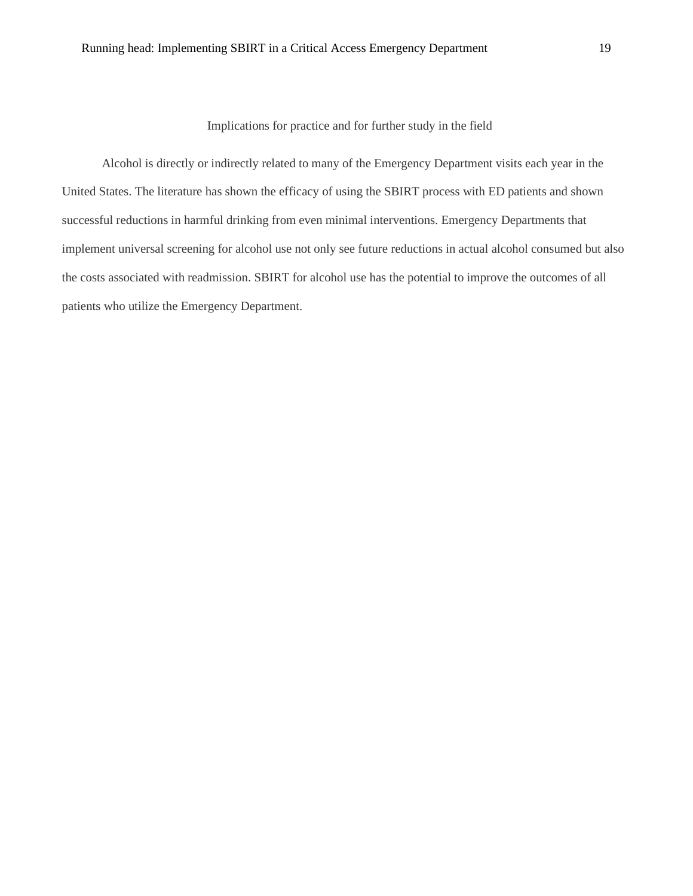Implications for practice and for further study in the field

Alcohol is directly or indirectly related to many of the Emergency Department visits each year in the United States. The literature has shown the efficacy of using the SBIRT process with ED patients and shown successful reductions in harmful drinking from even minimal interventions. Emergency Departments that implement universal screening for alcohol use not only see future reductions in actual alcohol consumed but also the costs associated with readmission. SBIRT for alcohol use has the potential to improve the outcomes of all patients who utilize the Emergency Department.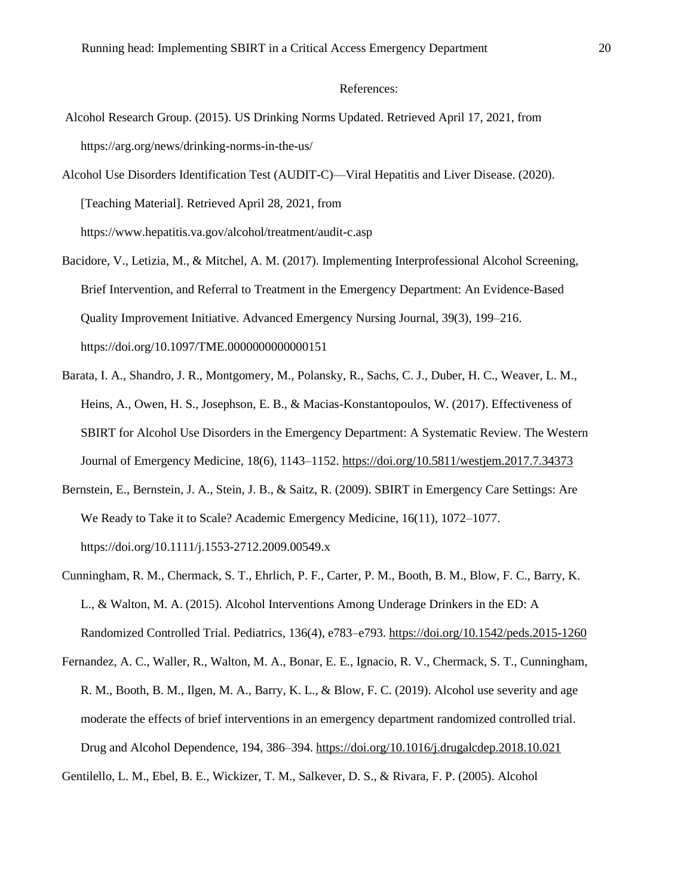#### References:

- Alcohol Research Group. (2015). US Drinking Norms Updated. Retrieved April 17, 2021, from https://arg.org/news/drinking-norms-in-the-us/
- Alcohol Use Disorders Identification Test (AUDIT-C)—Viral Hepatitis and Liver Disease. (2020). [Teaching Material]. Retrieved April 28, 2021, from https://www.hepatitis.va.gov/alcohol/treatment/audit-c.asp

Bacidore, V., Letizia, M., & Mitchel, A. M. (2017). Implementing Interprofessional Alcohol Screening, Brief Intervention, and Referral to Treatment in the Emergency Department: An Evidence-Based Quality Improvement Initiative. Advanced Emergency Nursing Journal, 39(3), 199–216.

https://doi.org/10.1097/TME.0000000000000151

- Barata, I. A., Shandro, J. R., Montgomery, M., Polansky, R., Sachs, C. J., Duber, H. C., Weaver, L. M., Heins, A., Owen, H. S., Josephson, E. B., & Macias-Konstantopoulos, W. (2017). Effectiveness of SBIRT for Alcohol Use Disorders in the Emergency Department: A Systematic Review. The Western Journal of Emergency Medicine, 18(6), 1143–1152.<https://doi.org/10.5811/westjem.2017.7.34373>
- Bernstein, E., Bernstein, J. A., Stein, J. B., & Saitz, R. (2009). SBIRT in Emergency Care Settings: Are We Ready to Take it to Scale? Academic Emergency Medicine, 16(11), 1072–1077. https://doi.org/10.1111/j.1553-2712.2009.00549.x
- Cunningham, R. M., Chermack, S. T., Ehrlich, P. F., Carter, P. M., Booth, B. M., Blow, F. C., Barry, K. L., & Walton, M. A. (2015). Alcohol Interventions Among Underage Drinkers in the ED: A Randomized Controlled Trial. Pediatrics, 136(4), e783–e793[. https://doi.org/10.1542/peds.2015-1260](https://doi.org/10.1542/peds.2015-1260)
- Fernandez, A. C., Waller, R., Walton, M. A., Bonar, E. E., Ignacio, R. V., Chermack, S. T., Cunningham, R. M., Booth, B. M., Ilgen, M. A., Barry, K. L., & Blow, F. C. (2019). Alcohol use severity and age moderate the effects of brief interventions in an emergency department randomized controlled trial. Drug and Alcohol Dependence, 194, 386–394.<https://doi.org/10.1016/j.drugalcdep.2018.10.021>

Gentilello, L. M., Ebel, B. E., Wickizer, T. M., Salkever, D. S., & Rivara, F. P. (2005). Alcohol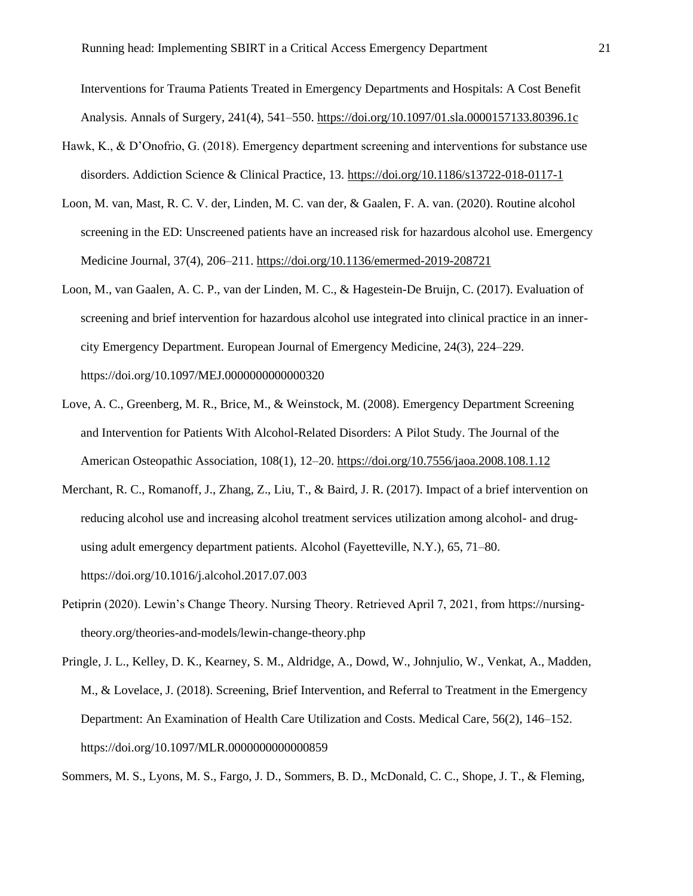Interventions for Trauma Patients Treated in Emergency Departments and Hospitals: A Cost Benefit Analysis. Annals of Surgery, 241(4), 541–550.<https://doi.org/10.1097/01.sla.0000157133.80396.1c>

- Hawk, K., & D'Onofrio, G. (2018). Emergency department screening and interventions for substance use disorders. Addiction Science & Clinical Practice, 13.<https://doi.org/10.1186/s13722-018-0117-1>
- Loon, M. van, Mast, R. C. V. der, Linden, M. C. van der, & Gaalen, F. A. van. (2020). Routine alcohol screening in the ED: Unscreened patients have an increased risk for hazardous alcohol use. Emergency Medicine Journal, 37(4), 206–211[. https://doi.org/10.1136/emermed-2019-208721](https://doi.org/10.1136/emermed-2019-208721)
- Loon, M., van Gaalen, A. C. P., van der Linden, M. C., & Hagestein-De Bruijn, C. (2017). Evaluation of screening and brief intervention for hazardous alcohol use integrated into clinical practice in an inner city Emergency Department. European Journal of Emergency Medicine, 24(3), 224–229. https://doi.org/10.1097/MEJ.0000000000000320
- Love, A. C., Greenberg, M. R., Brice, M., & Weinstock, M. (2008). Emergency Department Screening and Intervention for Patients With Alcohol-Related Disorders: A Pilot Study. The Journal of the American Osteopathic Association, 108(1), 12–20.<https://doi.org/10.7556/jaoa.2008.108.1.12>
- Merchant, R. C., Romanoff, J., Zhang, Z., Liu, T., & Baird, J. R. (2017). Impact of a brief intervention on reducing alcohol use and increasing alcohol treatment services utilization among alcohol- and drug using adult emergency department patients. Alcohol (Fayetteville, N.Y.), 65, 71–80. https://doi.org/10.1016/j.alcohol.2017.07.003
- Petiprin (2020). Lewin's Change Theory. Nursing Theory. Retrieved April 7, 2021, from https://nursing theory.org/theories-and-models/lewin-change-theory.php
- Pringle, J. L., Kelley, D. K., Kearney, S. M., Aldridge, A., Dowd, W., Johnjulio, W., Venkat, A., Madden, M., & Lovelace, J. (2018). Screening, Brief Intervention, and Referral to Treatment in the Emergency Department: An Examination of Health Care Utilization and Costs. Medical Care, 56(2), 146–152. https://doi.org/10.1097/MLR.0000000000000859

Sommers, M. S., Lyons, M. S., Fargo, J. D., Sommers, B. D., McDonald, C. C., Shope, J. T., & Fleming,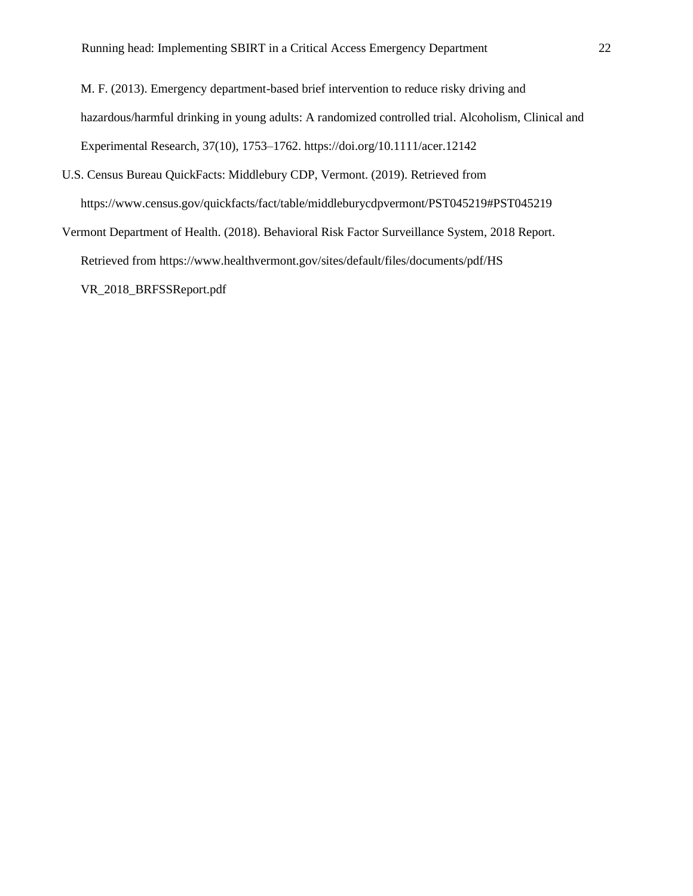M. F. (2013). Emergency department-based brief intervention to reduce risky driving and hazardous/harmful drinking in young adults: A randomized controlled trial. Alcoholism, Clinical and Experimental Research, 37(10), 1753–1762. https://doi.org/10.1111/acer.12142

- U.S. Census Bureau QuickFacts: Middlebury CDP, Vermont. (2019). Retrieved from https://www.census.gov/quickfacts/fact/table/middleburycdpvermont/PST045219#PST045219
- Vermont Department of Health. (2018). Behavioral Risk Factor Surveillance System, 2018 Report. Retrieved from https://www.healthvermont.gov/sites/default/files/documents/pdf/HS VR\_2018\_BRFSSReport.pdf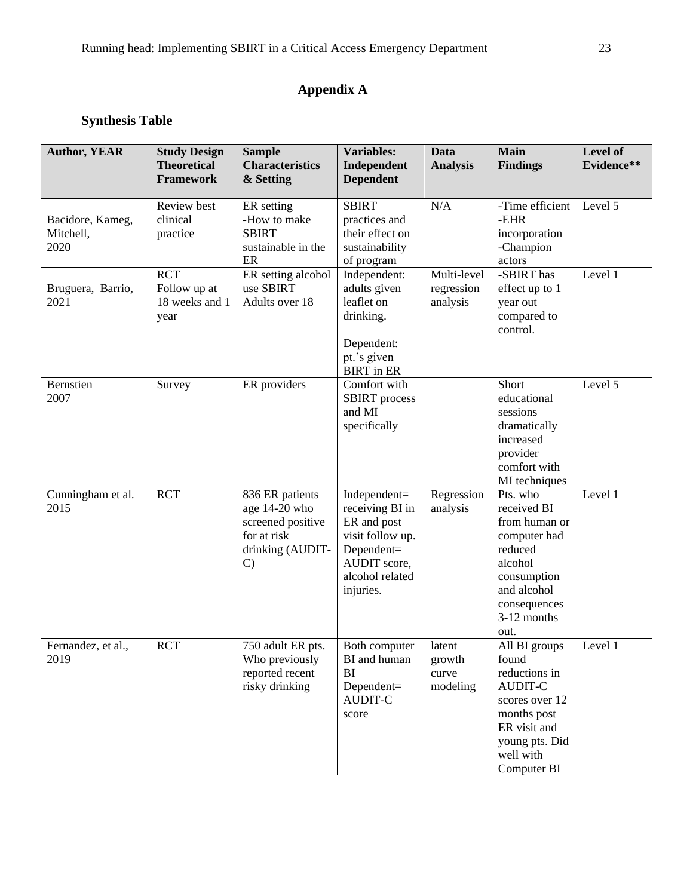# **Appendix A**

# **Synthesis Table**

| <b>Author, YEAR</b>                   | <b>Study Design</b><br><b>Theoretical</b><br><b>Framework</b> | <b>Sample</b><br><b>Characteristics</b><br>& Setting                                                      | <b>Variables:</b><br>Independent<br><b>Dependent</b>                                                                             | <b>Data</b><br><b>Analysis</b>        | Main<br><b>Findings</b>                                                                                                                                  | Level of<br>Evidence** |
|---------------------------------------|---------------------------------------------------------------|-----------------------------------------------------------------------------------------------------------|----------------------------------------------------------------------------------------------------------------------------------|---------------------------------------|----------------------------------------------------------------------------------------------------------------------------------------------------------|------------------------|
| Bacidore, Kameg,<br>Mitchell,<br>2020 | Review best<br>clinical<br>practice                           | ER setting<br>-How to make<br><b>SBIRT</b><br>sustainable in the<br>ER                                    | <b>SBIRT</b><br>practices and<br>their effect on<br>sustainability<br>of program                                                 | N/A                                   | -Time efficient<br>-EHR<br>incorporation<br>-Champion<br>actors                                                                                          | Level 5                |
| Bruguera, Barrio,<br>2021             | <b>RCT</b><br>Follow up at<br>18 weeks and 1<br>year          | ER setting alcohol<br>use SBIRT<br>Adults over 18                                                         | Independent:<br>adults given<br>leaflet on<br>drinking.<br>Dependent:<br>pt.'s given<br><b>BIRT</b> in ER                        | Multi-level<br>regression<br>analysis | -SBIRT has<br>effect up to 1<br>year out<br>compared to<br>control.                                                                                      | Level 1                |
| <b>Bernstien</b><br>2007              | Survey                                                        | ER providers                                                                                              | Comfort with<br><b>SBIRT</b> process<br>and MI<br>specifically                                                                   |                                       | Short<br>educational<br>sessions<br>dramatically<br>increased<br>provider<br>comfort with<br>MI techniques                                               | Level 5                |
| Cunningham et al.<br>2015             | <b>RCT</b>                                                    | 836 ER patients<br>age 14-20 who<br>screened positive<br>for at risk<br>drinking (AUDIT-<br>$\mathcal{C}$ | Independent=<br>receiving BI in<br>ER and post<br>visit follow up.<br>Dependent=<br>AUDIT score,<br>alcohol related<br>injuries. | Regression<br>analysis                | Pts. who<br>received BI<br>from human or<br>computer had<br>reduced<br>alcohol<br>consumption<br>and alcohol<br>consequences<br>3-12 months<br>out.      | Level 1                |
| Fernandez, et al.,<br>2019            | <b>RCT</b>                                                    | 750 adult ER pts.<br>Who previously<br>reported recent<br>risky drinking                                  | Both computer<br>BI and human<br>BI<br>Dependent=<br><b>AUDIT-C</b><br>score                                                     | latent<br>growth<br>curve<br>modeling | All BI groups<br>found<br>reductions in<br><b>AUDIT-C</b><br>scores over 12<br>months post<br>ER visit and<br>young pts. Did<br>well with<br>Computer BI | Level 1                |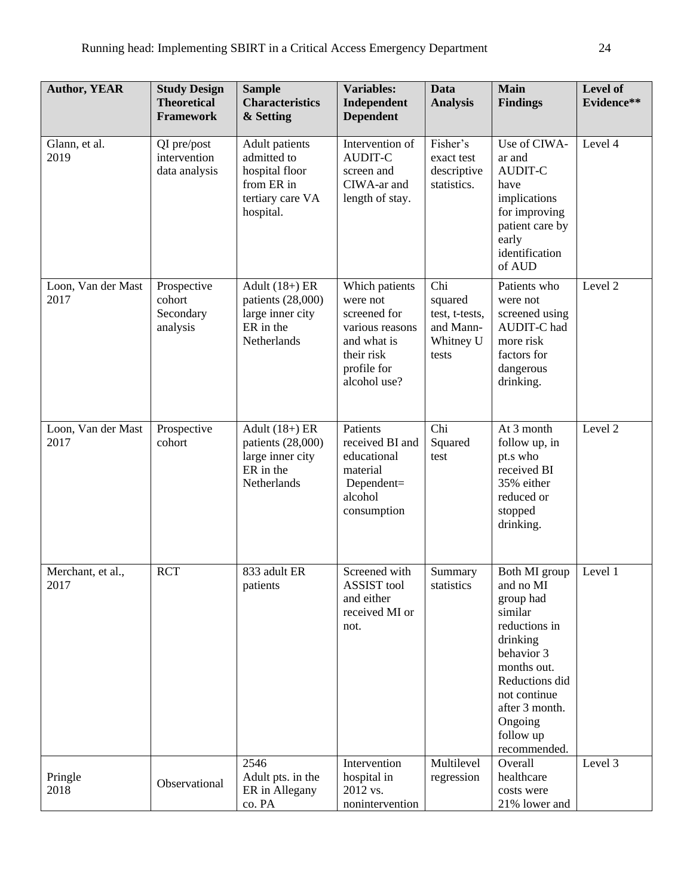| <b>Author, YEAR</b>        | <b>Study Design</b><br><b>Theoretical</b><br><b>Framework</b> | <b>Sample</b><br><b>Characteristics</b><br>& Setting                                                  | <b>Variables:</b><br>Independent<br><b>Dependent</b>                                                                      | <b>Data</b><br><b>Analysis</b>                                      | <b>Main</b><br><b>Findings</b>                                                                                                                                                                           | Level of<br>Evidence** |
|----------------------------|---------------------------------------------------------------|-------------------------------------------------------------------------------------------------------|---------------------------------------------------------------------------------------------------------------------------|---------------------------------------------------------------------|----------------------------------------------------------------------------------------------------------------------------------------------------------------------------------------------------------|------------------------|
| Glann, et al.<br>2019      | QI pre/post<br>intervention<br>data analysis                  | <b>Adult</b> patients<br>admitted to<br>hospital floor<br>from ER in<br>tertiary care VA<br>hospital. | Intervention of<br><b>AUDIT-C</b><br>screen and<br>CIWA-ar and<br>length of stay.                                         | Fisher's<br>exact test<br>descriptive<br>statistics.                | Use of CIWA-<br>ar and<br><b>AUDIT-C</b><br>have<br>implications<br>for improving<br>patient care by<br>early<br>identification<br>of AUD                                                                | Level 4                |
| Loon, Van der Mast<br>2017 | Prospective<br>cohort<br>Secondary<br>analysis                | Adult $(18+)$ ER<br>patients (28,000)<br>large inner city<br>ER in the<br>Netherlands                 | Which patients<br>were not<br>screened for<br>various reasons<br>and what is<br>their risk<br>profile for<br>alcohol use? | Chi<br>squared<br>test, t-tests,<br>and Mann-<br>Whitney U<br>tests | Patients who<br>were not<br>screened using<br>AUDIT-C had<br>more risk<br>factors for<br>dangerous<br>drinking.                                                                                          | Level 2                |
| Loon, Van der Mast<br>2017 | Prospective<br>cohort                                         | Adult $(18+)$ ER<br>patients (28,000)<br>large inner city<br>ER in the<br>Netherlands                 | Patients<br>received BI and<br>educational<br>material<br>Dependent=<br>alcohol<br>consumption                            | Chi<br>Squared<br>test                                              | At 3 month<br>follow up, in<br>pt.s who<br>received BI<br>35% either<br>reduced or<br>stopped<br>drinking.                                                                                               | Level 2                |
| Merchant, et al.,<br>2017  | <b>RCT</b>                                                    | 833 adult ER<br>patients                                                                              | Screened with<br><b>ASSIST</b> tool<br>and either<br>received MI or<br>not.                                               | Summary<br>statistics                                               | Both MI group<br>and no MI<br>group had<br>similar<br>reductions in<br>drinking<br>behavior 3<br>months out.<br>Reductions did<br>not continue<br>after 3 month.<br>Ongoing<br>follow up<br>recommended. | Level 1                |
| Pringle<br>2018            | Observational                                                 | 2546<br>Adult pts. in the<br>ER in Allegany<br>co. PA                                                 | Intervention<br>hospital in<br>2012 vs.<br>nonintervention                                                                | Multilevel<br>regression                                            | Overall<br>healthcare<br>costs were<br>21% lower and                                                                                                                                                     | Level 3                |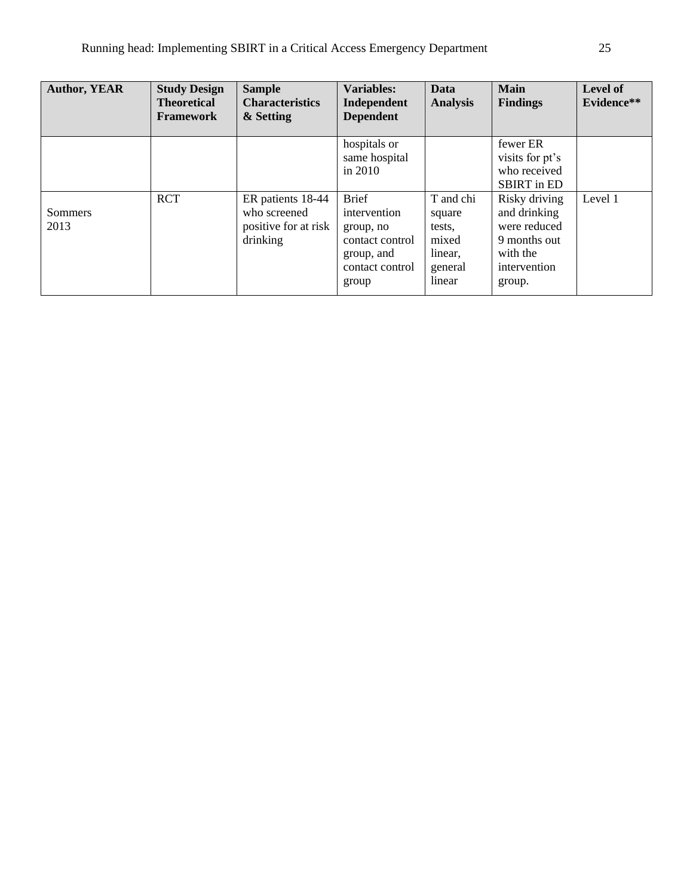| <b>Author, YEAR</b> | <b>Study Design</b><br><b>Theoretical</b><br><b>Framework</b> | <b>Sample</b><br><b>Characteristics</b><br>& Setting                  | <b>Variables:</b><br>Independent<br><b>Dependent</b>                                                   | Data<br><b>Analysis</b>                                                | <b>Main</b><br><b>Findings</b>                                                                      | Level of<br>Evidence** |
|---------------------|---------------------------------------------------------------|-----------------------------------------------------------------------|--------------------------------------------------------------------------------------------------------|------------------------------------------------------------------------|-----------------------------------------------------------------------------------------------------|------------------------|
|                     |                                                               |                                                                       | hospitals or<br>same hospital<br>in $2010$                                                             |                                                                        | fewer ER<br>visits for pt's<br>who received<br><b>SBIRT</b> in ED                                   |                        |
| Sommers<br>2013     | <b>RCT</b>                                                    | ER patients 18-44<br>who screened<br>positive for at risk<br>drinking | <b>Brief</b><br>intervention<br>group, no<br>contact control<br>group, and<br>contact control<br>group | T and chi<br>square<br>tests.<br>mixed<br>linear,<br>general<br>linear | Risky driving<br>and drinking<br>were reduced<br>9 months out<br>with the<br>intervention<br>group. | Level 1                |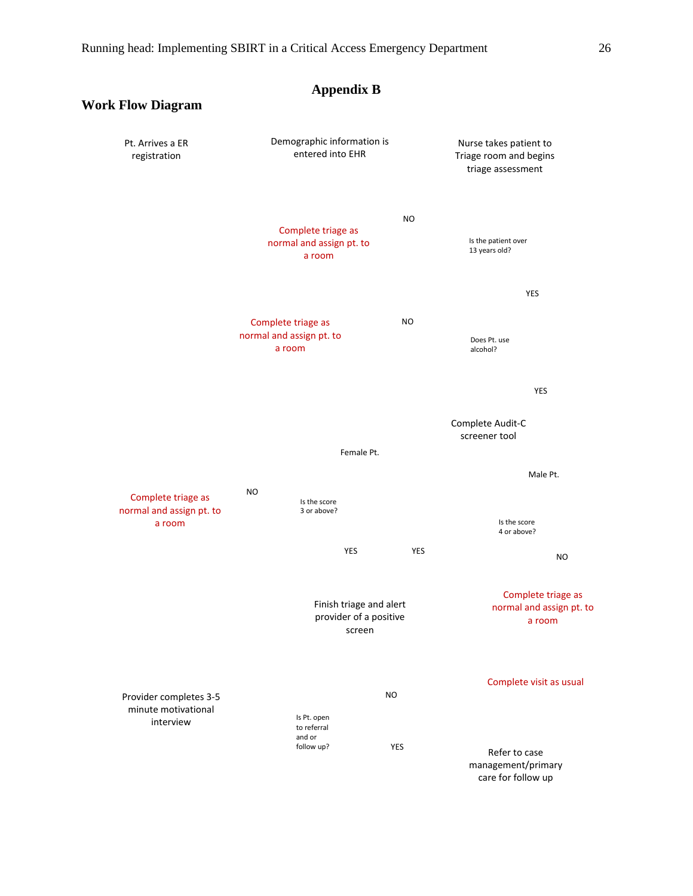